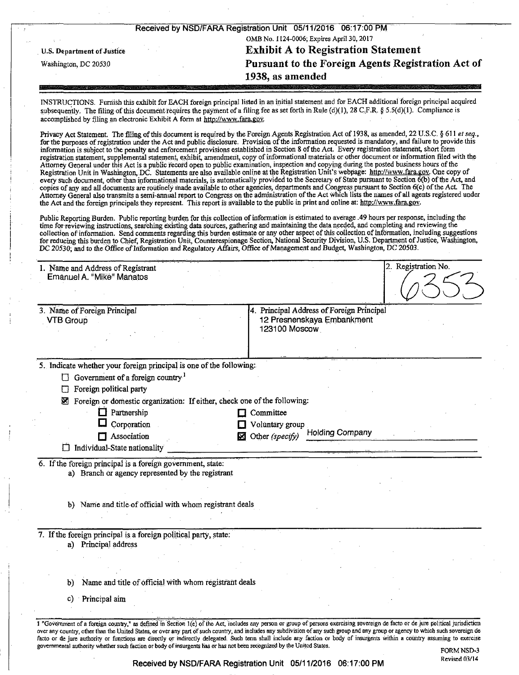|                                           | Received by NSD/FARA Registration Unit 05/11/2016 06:17:00 PM |  |  |
|-------------------------------------------|---------------------------------------------------------------|--|--|
| OMB No. 1124-0006; Expires April 30, 2017 |                                                               |  |  |
| <b>U.S. Department of Justice</b>         | <b>Exhibit A to Registration Statement</b>                    |  |  |
| Washington, DC 20530                      | Pursuant to the Foreign Agents Registration Act of            |  |  |
|                                           | 1938, as amended                                              |  |  |

INSTRUCTIONS. Furnish this exhibit for EACH foreign principal listed in an initial statement and for EACH additional foreign principal acquired subsequently. The filing of this document requires the payment of a filing fee as set forth in Rule (d)(1), 28 C.F.R. § 5.5(d)(1). Compliance is accomplished by filing an electronic Exhibit A form at http://www.fara.gov.

Privacy Act Statement. The filing of this document is required by the Foreign Agents Registration Act of 1938, as amended, 22 U.S.C. § 611 et seq., for the purposes of registration under the Act and public disclosure. Provision of the information requested is mandatory, and failure to provide this information is subject to the penalty and enforcement provisions established in Section 8 of the Act. Every registration statement, short form registration statement, supplemental statement, exhibit, amendment, copy of mformational materials or other document or information filed with the Attorney General under this Act is a public record open to public examination, inspection and copying during the posted business hours of the Registration Unit in Washington, DC. Statements are also available online at the Registration Unit's webpage: http://www.fara.gov. One copy of every such document, other than informational materials, is automatically provided to the Secretary of State pursuant to Section 6(b) of the Act, and copies of any and all documents are routinely made available to other agencies, departments and Congress pursuant to Section 6(c) of the Act The Attorney General also transmits a semi-annual report to Congress on the administration of the Act which lists the names of all agents registered under the Act and the foreign principals they represent. This report is available to the public in print and online at: http://www.fara.gov.

Public Reporting Burden. Public reporting burden for this collection of information is estimated to average .49 hours per response, including the time for reviewing instructions, searching existing data sources, gathering and maintaining the data needed, and completing and reviewing the collection of information. Send comments regarding this burden estimate or any other aspect of this collection of information, including suggestions for reducing this burden to Chief, Registration Unit, Counterespionage Section, National Security Division, U.S. Department of Justice, Washington, DC 20530; and to the Office of Information and Regulatory Affairs, Office of Management and Budget, Washington, DC 20503.

| 1. Name and Address of Registrant<br>Emanuel A. "Mike" Manatos                                                   | 2. Registration No.                            |
|------------------------------------------------------------------------------------------------------------------|------------------------------------------------|
|                                                                                                                  |                                                |
| 3. Name of Foreign Principal                                                                                     | 4. Principal Address of Foreign Principal      |
| <b>VTB Group</b>                                                                                                 | 12 Presnenskaya Embankment                     |
|                                                                                                                  | 123100 Moscow                                  |
|                                                                                                                  |                                                |
| 5. Indicate whether your foreign principal is one of the following:                                              |                                                |
| Government of a foreign country <sup>1</sup><br>⊔                                                                |                                                |
| Foreign political party<br>П                                                                                     |                                                |
| Foreign or domestic organization: If either, check one of the following:<br>⊠                                    |                                                |
| $\Box$ Partnership                                                                                               | Committee                                      |
| Corporation                                                                                                      | Voluntary group                                |
| Association                                                                                                      | <b>Holding Company</b><br>Other (specify)<br>⊠ |
|                                                                                                                  |                                                |
| $\Box$ Individual-State nationality                                                                              |                                                |
| 6. If the foreign principal is a foreign government, state:<br>a) Branch or agency represented by the registrant |                                                |
| b) Name and title of official with whom registrant deals                                                         |                                                |
|                                                                                                                  |                                                |
| a) Principal address                                                                                             |                                                |
|                                                                                                                  |                                                |
|                                                                                                                  |                                                |
| b)                                                                                                               |                                                |
| Name and title of official with whom registrant deals                                                            |                                                |
| 7. If the foreign principal is a foreign political party, state:<br>Principal aim<br>C)                          |                                                |

Received by NSD/FARA Registration Unit 05/11/2016 06:17:00 PM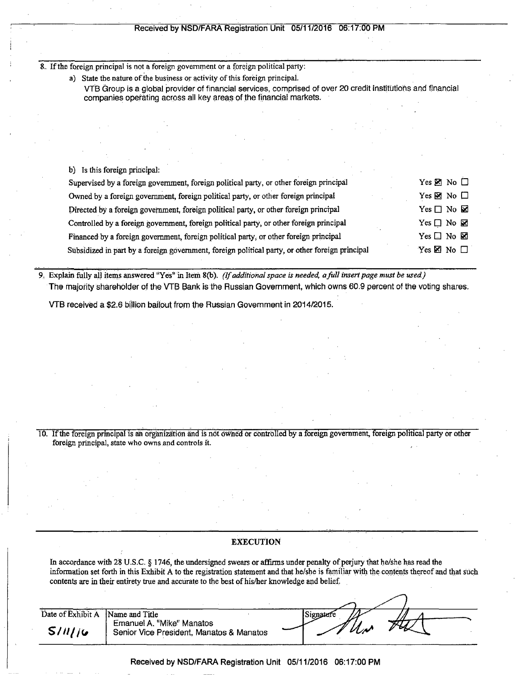## Received by NSD/FARA Registration Unit 05/11/2016 06:17:00 PM

8.. If the foreign principal is not a foreign government or a foreign political party:

a) State the nature of the business or activity of this foreign principal.

VTB Group is a global provider of financial services, comprised of over 20 credit Institutions and financial companies operating across all key areas of the financial markets.

## b) Is this foreign principal:

| Supervised by a foreign government, foreign political party, or other foreign principal         | Yes $\boxtimes$ No $\square$ |
|-------------------------------------------------------------------------------------------------|------------------------------|
| Owned by a foreign government, foreign political party, or other foreign principal              | Yes $\boxtimes$ No $\Box$    |
| Directed by a foreign government, foreign political party, or other foreign principal           | Yes $\Box$ No $\boxtimes$    |
| Controlled by a foreign government, foreign political party, or other foreign principal         | Yes $\Box$ No $\boxtimes$    |
| Financed by a foreign government, foreign political party, or other foreign principal           | Yes $\Box$ No $\boxtimes$    |
| Subsidized in part by a foreign government, foreign political party, or other foreign principal | Yes $\boxtimes$ No $\Box$    |

*9, Explain fully all items answered "Yes" in Item 8(b). (If additional space is needed, a full insert page must be used)*  The majority shareholder of the VTB Bank is the Russian Government, which owns 60.9 percent of the voting shares.

VTB received a \$2.6 billion bailout from the Russian Government in 2014/2015.

10. If the foreign principal is ah organization and is not owned or controlled by a foreign government, foreign political party or other foreign principal, state who owns and controls it.

# **EXECUTION**

In accordance with 28 U.S.C. § 1746, the undersigned swears or affirms under penalty of perjury that he/she has read the information set forth in this Exhibit A to the registration statement and that he/she is familiar with the contents thereof and that such contents are in their entirety true and accurate to the best of his/her knowledge and belief.

| Date of Exhibit A | Name and Title                                                        | Signature     |  |
|-------------------|-----------------------------------------------------------------------|---------------|--|
| S/11/16           | Emanuel A. "Mike" Manatos<br>Senior Vice President, Manatos & Manatos | $\mathcal{U}$ |  |

### Received by NSD/FARA Registration Unit 05/11/2016 06:17:00 PM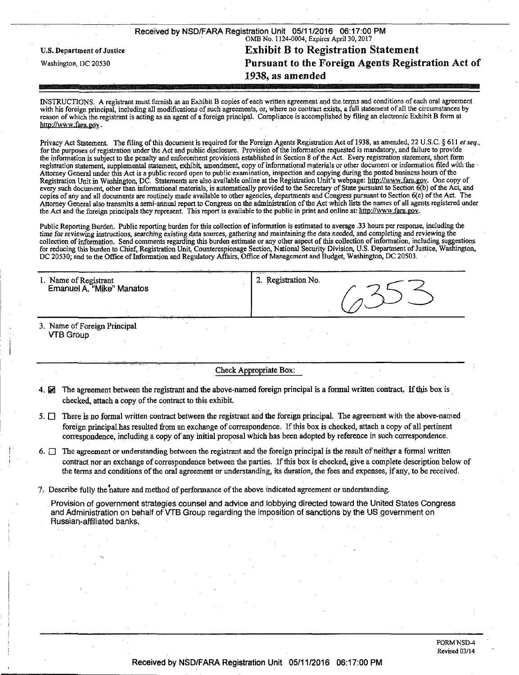| Received by NSD/FARA Registration Unit 05/11/2016 06:17:00 PM<br>OMB No. 1124-0004; Expires April 30, 2017 |                                                    |  |  |  |
|------------------------------------------------------------------------------------------------------------|----------------------------------------------------|--|--|--|
| U.S. Department of Justice                                                                                 | <b>Exhibit B to Registration Statement</b>         |  |  |  |
| Washington, DC 20530                                                                                       | Pursuant to the Foreign Agents Registration Act of |  |  |  |
|                                                                                                            | 1938, as amended                                   |  |  |  |

INSTRUCTIONS. A registrant must furnish as an Exhibit B copies of each written agreement and the terms and conditions of each oral agreement with his foreign principal, including all modifications of such agreements, or, where no contract exists, a full statement of all the circumstances by reason of which the registrant is acting as an agent of a foreign principal. Compliance is accomplished by filing an electronic Exhibit B form at http://www.fara.gov.

Privacy Act Statement. The filing of this document is required for the Foreign Agents Registration Act of 1938, as amended, 22 U.S.C. § 611 et seq., for the purposes of registration under the Act and public disclosure. Provision of the information requested is mandatory, and failure to provide the information is subject to the penalty and enforcement provisions established in Section 8 of the Act. Every registration statement, short form registration statement, supplemental statement, exhibit, amendment, copy of informational materials or other document or information filed with the - Attorney General under this Act is a public record open to public examination, inspection and copying during the posted business hours of the Registration Unit in Washington, DC. Statements are also available online at the Registration Unit's webpage: http://www.fara.gov. One copy of every such document, other than informational materials, is automatically provided to the Secretary of State pursuant to Section 6(b) of the Act, and copies of any and all documents are routinely made available to other agencies, departments and Congress pursuant to Section 6(c) of the Act. The Attorney General also transmits a semi-annual report to Congress on the administration of the Act which lists the names of all agents registered under the Act and the foreign principals they represent. This report is available to the public in print and online at: http://www.fara.gov.

Public Reporting Burden. Public reporting burden for this collection of information is estimated to average .33 hours per response, including the time for reviewing instructions, searching existing data sources, gathering and maintaining the data needed, and completing and reviewing the collection of information. Send comments regarding this burden estimate or any other aspect of this collection of information, including suggestions for reducing this burden to Chief, Registration Unit, Counterespionage Section, National Security Division, U.S. Department of Justice, Washington, DC 20530; and to the Office of Information and Regulatory Affairs, Office of Management and Budget, Washington, DC 20503.

| 1. Name of Registrant<br>Emanuel A. "Mike" Manatos | . . <b>.</b> .<br><b><i><u>ALLASS</u></i></b><br>Registration No.<br>∸. |
|----------------------------------------------------|-------------------------------------------------------------------------|
| - - -<br>$\overline{\phantom{a}}$<br>. .           |                                                                         |

3. Name of Foreign Principal VTB Group

Check Appropriate Box:

- 4.  $\boxtimes$  The agreement between the registrant and the above-named foreign principal is a formal written contract. If this box is checked, attach a copy of the contract to this exhibit.
- 5.  $\Box$  There is no formal written contract between the registrant and the foreign principal. The agreement with the above-named foreign principal.has resulted from an exchange of correspondence. If this box is checked, attach a copy of all pertinent correspondence, including a copy of any initial proposal which has been adopted by reference in such correspondence.
- 6.  $\Box$  The agreement or understanding between the registrant and the foreign principal is the result of neither a formal written contract nor an exchange of correspondence between the parties. If this box is checked, give a complete description below of the terms and conditions of the oral agreement or understanding, its duration, the fees and expenses, if any, to be received.
- 7> Describe fully the nature and method of performance of the above indicated agreement or understanding.

Provision of government strategies counsel and advice and lobbying directed toward the United States Congress and Administration on behalf of VTB Group regarding the imposition of sanctions by the US government on Russian-affiliated banks.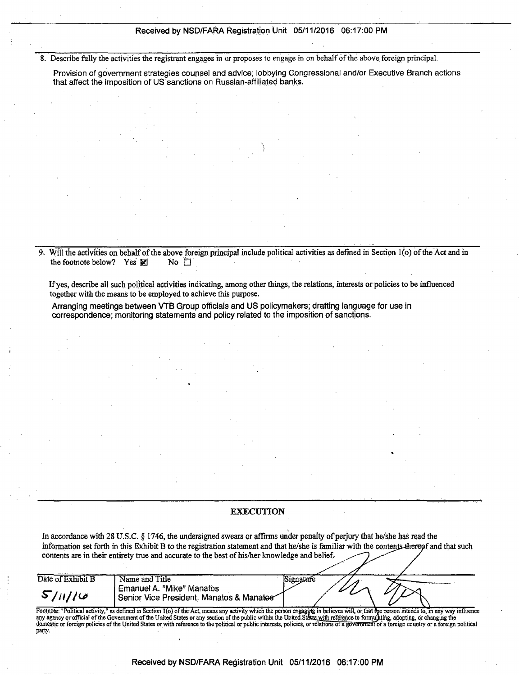### Received by NSD/FARA Registration Unit 05/11/2016 06:17:00 PM

8. Describe fully the activities the registrant engages in or proposes to engage in on behalf of the above foreign principal.

Provision of government strategies counsel and advice; lobbying Congressional and/or Executive Branch actions that affect the imposition of US sanctions on Russian-affiliated banks,

9. Will the activities on behalf of the above foreign principal include political activities as defined in Section l(o) of the Act and in the footnote below? Yes  $\boxtimes$  No  $\Box$ 

If yes, describe all such political activities indicating, among other things, the relations, interests or policies to be influenced together with the means to be employed to achieve this purpose.

Arranging meetings between VTB Group officials and US policymakers; drafting language for use in correspondence; monitoring statements and policy related to the imposition of sanctions.

# EXECUTION

In accordance with 28 U.S.C. § 1746, the undersigned swears or affirms under penalty of perjury that he/she has read the *information set forth in this Exhibit B to the registration statement and that he/she is familiar with the contents-therepf and that such* contents are in their entirety true and accurate to the best of his/her knowledge and belief.

| Date of Exhibit B | Name and Title                                                                                                                                                                            | 31gnarare |  |  |
|-------------------|-------------------------------------------------------------------------------------------------------------------------------------------------------------------------------------------|-----------|--|--|
| 5/11/16           | Emanuel A. "Mike" Manatos<br>Senior Vice President, Manatos & Manatos                                                                                                                     |           |  |  |
|                   | Pootnote: "Political activity," as defined in Section 1(o) of the Act, means any activity which the person engaging in believes will, or that the person intends to, in any way influence |           |  |  |

Pootnote: "Political activity," as defined in Section 1(o) of the Act, means any activity which the person engaging in believes will, or that the person intends to, in any way influence<br>any agency or official of the Govern party.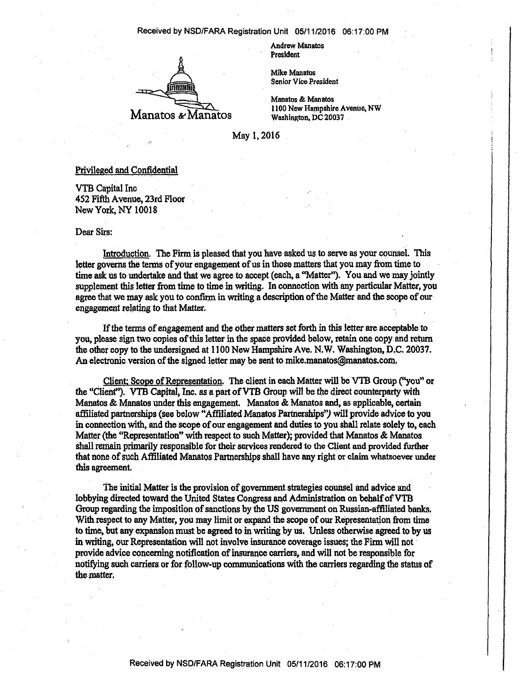#### Received by NSD/FARA Registration Unit 05/11 /2016 06:17:00 PM



**Andrew Manatos President** 

**Mike Manatos Senior Vice President** 

**Manatos & Manatos 1100 New Hampshire Avenue, NW Washington, DC 20037** 

**May 1,2016** 

## **Privileged and. Confidential**

**VTB Capital Inc 452 Fifth Avenue, 23rd Floor New York, NY 10018** 

#### **Dear Sirs:**

**Introduction. The Firm is pleased that you have asked us to serve as your counsel. This letter governs the terms of your engagement of us in those matters that you may from time to time ask us to undertake and that we agree to accept (each, a "Matter"). You and we may jointly supplement mis letter from time to time in writing. In connection with any particular Matter, you agree that we may ask you to confirm in writing a description of the Matter and the scope of our engagement relating to that Matter.** 

**If the terms of engagement and the other matters set forth in this letter are acceptable to you, please sign two copies of this letter in the space provided below, retain one copy and return the other copy to the undersigned at 1100 New Hampshire Ave. N. W. Washington, D.C. 20037. An electronic version of the signed letter may be sent to mike.manatos@manatos.com.** 

**Client: Scope of Representation. The client in each Matter will be VTB Group ("you" or**  the "Client"). VTB Capital, Inc. as a part of VTB Group will be the direct counterparty with **Manatos & Manatos under this engagement. Manatos & Manatos and, as applicable, certain**  affiliated partnerships (see below "Affiliated Manatos Partnerships") will provide advice to you **in connection with, and the scope of our engagement and duties to you shall relate solely to, each Matter (the "Representation" with respect to such Matter); provided that Manatos & Manatos shall remain primarily responsible for their services rendered to the Client and provided further that none of such Affiliated Manatos Partnerships shall have any right or claim whatsoever under this agreement.** 

**The initial Matter is the provision of government strategies counsel and advice and lobbying directed toward the United States Congress and Administration on behalf of VTB Group regarding the imposition of sanctions by the US government on Russian-affiliated banks. With respect to any Matter, you may limit or expand the scope of our Representation from time to time, but any expansion must be agreed to in writing by us. Unless otherwise agreed to by us in writing, our Representation will not involve insurance coverage issues; the Firm will not provide advice concerning notification of insurance carriers, and Will not be responsible for notifying such carriers or for follow-up communications with the carriers regarding the status of the matter.**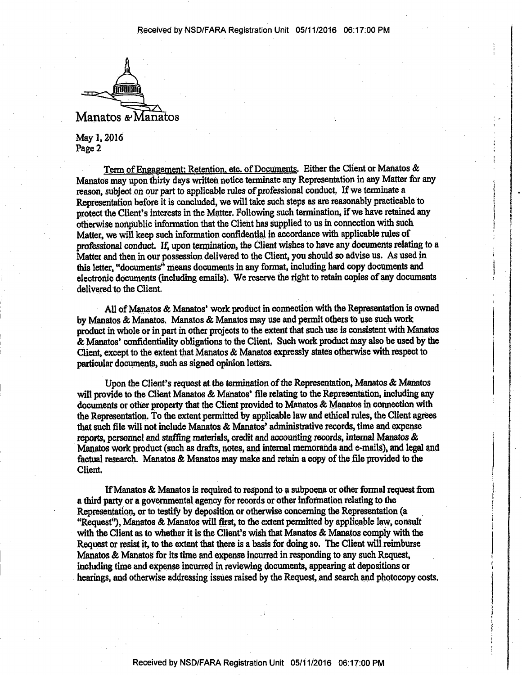

**May 1,2016 Page 2** 

**Term of Engagement: Retention, etc. of Documents. Either the Client or Manatos & Manatos may upon thirty days written notice terminate any Representation in any Matter for any reason, subject on our part to applicable rules of professional conduct. If we terminate a Representation before it is concluded, we will take such steps as are reasonably practicable to protect the Client's interests in the Matter. Following such termination, if we have retained any otherwise nonpublic information that the Client has supplied to us in connection with such Matter, we will keep such information confidential in accordance with applicable rules of professional conduct. If, upon termination, the Client wishes to have any documents relating to a Matter and then in our possession delivered to the Client, you should so advise us. As used in this letter, "documents" means documents in any format, including hard copy documents and electronic documents (including emails). We reserve the right to retain copies of any documents delivered to the Client.** 

**All of Manatos & Manatos\* work product in connection with the Representation is owned by Manatos & Manatos. Manatos & Manatos may use and permit others to use such work product in whole or in part in other projects to the extent that such use is consistent with Manatos & Manatos' confidentiality obligations to the Client. Such work product may also be used by the Client, except to the extent that Manatos & Manatos expressly states otherwise with respect to particular documents, such as signed opinion letters.** 

**Upon the Client's request at the termination of the Representation, Manatos & Manatos will provide to the Client Manatos & Manatos' file relating to the Representation, including any documents or other property that the Client provided to Manatos & Manatos in connection with the Representation, to the extent permitted by applicable law and ethical rules, the Client agrees that such file will not include Manatos & Manatos' administrative records, time and expense reports, personnel and staffing materials, credit and accounting records, internal Manatos & Manatos work product (such as drafts, notes, and internal memoranda and e-mails), and legal and factual research. Manatos & Manatos may make and retain a copy of the file provided to the Client.** 

**If Manatos & Manatos is required to respond to a subpoena or other formal request from a third party or a governmental agency for records or other information relating to the Representation, or to testify by deposition or otherwise concerning the Representation (a "Request"), Manatos & Manatos will first, to the extent permitted by applicable law, consult with the Client as to whether it is the Client's wish that Manatos & Manatos comply with the Request or resist it, to the extent that there is a basis for doing so. The Client will reimburse Manatos & Manatos for its time and expense incurred in responding to any such Request, including time and expense incurred in reviewing documents, appearing at depositions or hearings, and otherwise addressing issues raised by the Request, and search and photocopy costs.**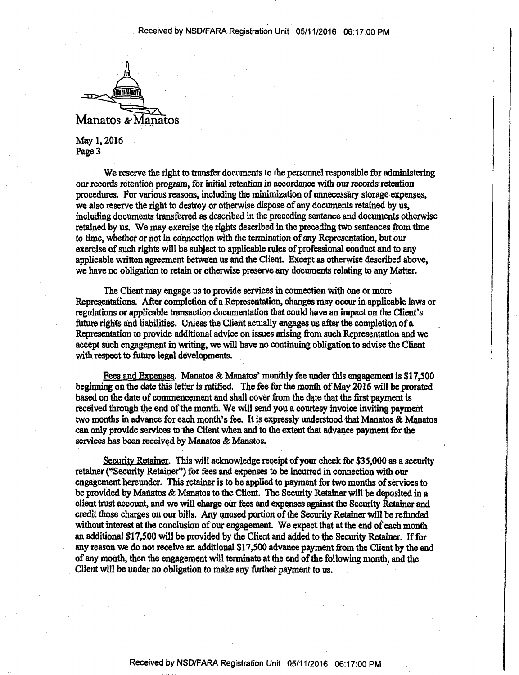

**May 1,2016 Page 3** 

We reserve the right to transfer documents to the personnel responsible for administering **our records retention program, for initial retention in accordance with our records retention procedures. For various reasons, including the minimization of unnecessary storage expenses, we also reserve the right to destroy or otherwise dispose of any documents retained by us, including documents transferred as described in the preceding sentence and documents otherwise retained by us. We may exercise the rights described in the preceding two sentences from time to time, whether or not in connection with the termination of any Representation, but our exercise of such rights will be subject to applicable rules of professional conduct and to any applicable written agreement between us and the Client. Except as otherwise described above, we have no obligation to retain or otherwise preserve any documents relating to any Matter.** 

**The Client may engage us to provide services in connection with one or more Representations. After completion of a Representation, changes may occur in applicable laws or regulations or applicable transaction documentation mat could have an impact on the Client's future rights and liabilities. Unless the Client actually engages us after the completion of a Representation to provide additional advice on issues arising from such Representation and we accept such engagement in writing, we will have no continuing obligation to advise the Client with respect to future legal developments.** 

**Fees and Expenses. Manatos & Manatos' monthly fee under this engagement is \$17,500 beginning on the date this letter is ratified. The fee for the month of May 2016 will be prorated based on the date of commencement and shall cover from the date that the first payment is received through the end of the month. We will send you a courtesy invoice inviting payment two months in advance for each month's fee. It is expressly understood that Manatos & Manatos can only provide services to the Client when and to the extent that advance payment for the services has been received by Manatos & Manatos.** 

**Security Retainer. This will acknowledge receipt of your check for \$35,000 as a security retainer ("Security Retainer") for fees and expenses to be incurred in connection with our engagement hereunder, this retainer is to be applied to payment for two months of services to be provided by Manatos & Manatos to the Client The Security Retainer will be deposited in a client trust account, and we will charge our fees and expenses against the Security Retainer and credit those charges on our bills. Any unused portion of the Security Retainer will be refunded without interest at the conclusion of our engagement. We expect that at the end of each month an additional \$17,500 will be provided by the Client and added to the Security Retainer. If for any reason we do not receive an additional \$17,500 advance payment from the Client by the end of any month, then the engagement will terminate at the end of the following month, and the Client will be under no obligation to make any further payment to us.**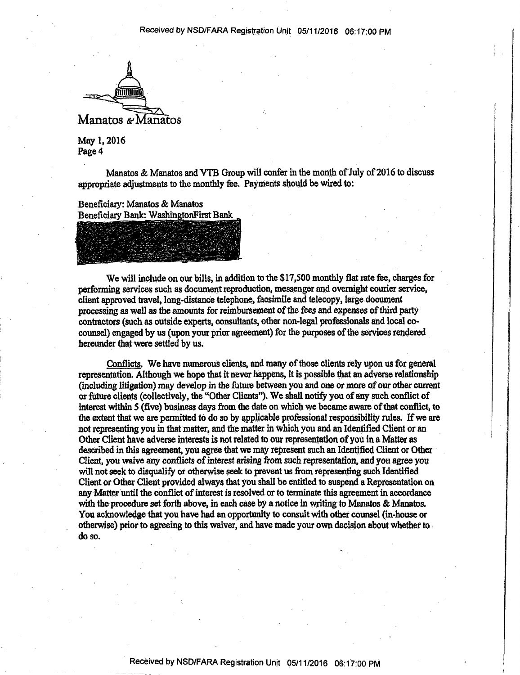

**May 1,2016 Page 4** 

**Manatos & Manatos and VTB Group will confer in me month of July of2016 to discuss appropriate adjustments to the monthly fee. Payments should be wired to:** 

**Beneficiary: Manatos & Manatos Beneficiary Bank: WashingtonFirst Bank** 

**We will include on our bills, in addition to the \$17,500 monthly fiat rate fee, charges for perforrning services such as document reproduction, messenger and overnight courier service, client approved travel, long-distance telephone, facsimile and telecopy, large document processing as well as the amounts for reimbursement of the fees and expenses of third party contractors (such as outside experts, consultants, other non-legal professionals and local cocounsel) engaged by us (upon your prior agreement) for the purposes of the services rendered hereunder that were settled by us.** 

**Conflicts. We have numerous clients, and many of those clients rely upon us for general representation. Although We hope that it never happens, it is possible that an adverse relationship (including litigation) may develop in the future between you and one or more of our other current or future clients (collectively, the "Other Clients"). We shall notify you of any such conflict of interest within 5 (five) business days from the date on which we became aware of that conflict, to the extent that we are permitted to do so by applicable professional responsibility rules. If we are not representing you in that matter, and the matter in Which you and an Identified Client or an Other Client have adverse interests is not related to our representation of you in a Matter as described in this agreement, you agree that we may represent such an Identified Client or Other Client, you waive any conflicts of interest arising from such representation, and you agree you will not seek to disqualify or otherwise seek to prevent us from representing such Identified Client or Other Client provided always that you shall be entitled to suspend a Representation on any Matter until the conflict of interest is resolved or to terminate this agreement in accordance with the procedure set forth above, in each case by a notice in writing to Manatos & Manatos. You acknowledge that you have had an opportunity to consult with other counsel (in-house or otherwise) prior to agreeing to this waiver, and have made your own decision about whether to do so.**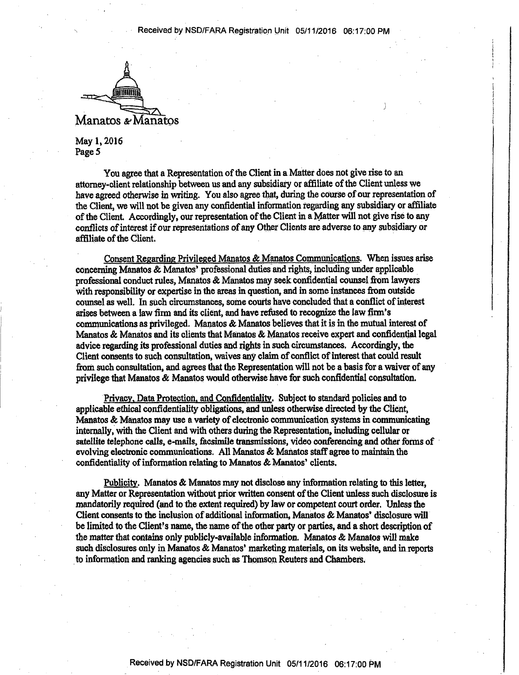

**May 1,2016 Page 5** 

**You agree that a Representation of the Client in a Matter does not give rise to an attorney-client relationship between us and any subsidiary or affiliate of the Client unless we have agreed otherwise in writing. You also agree that, during the course of our representation of the Client, we will not be given any confidential information regarding any subsidiary or affiliate**  of the Client. Accordingly, our representation of the Client in a Matter will not give rise to any **conflicts of interest if our representations of any Other Clients are adverse to any subsidiary or affiliate of the Client.** 

**Consent Regarding Privileged Manatos & Manatos Communications. When issues arise concerning Manatos & Manatos\* professional duties and rights, including under applicable professional conduct rules, Manatos & Manatos may seek confidential counsel from lawyers With responsibility or expertise in the areas in question, and in some instances from outside counsel as well. In such circumstances, some courts have concluded that a conflict of interest arises between a law firm and its client, and have refused to recognize the law firm's communications as privileged. Manatos & Manatos believes that it is in the mutual interest of Manatos & Manatos and its clients that Manatos & Manatos receive expert and confidential legal advice regarding its professional duties and rights in such circumstances. Accordingly, the Client consents to such consultation, waives any claim of conflict of interest that could result from such consultation, and agrees that the Representation will not be a basis for a waiver of any privilege that Manatos & Manatos would otherwise have for such confidential consultation.** 

**Privacy. Data Protection, and Confidentiality. Subject to standard policies and to applicable ethical confidentiality obligations, and unless otherwise directed by the Client, Manatos & Manatos may use a variety of electronic communication systems in communicating internally, with the Client and with others during the Representation, including cellular or satellite telephone calls, e-mails, facsimile transmissions, video conferencing and other forms of evolving electronic communications. All Manatos & Manatos staff agree to maintain the confidentiality of information relating to Manatos & Manatos' clients.** 

**Publicity. Manatos & Manatos may not disclose any information relating to this letter, any Matter or Representation without prior written consent of the Client unless such disclosure is mandatorily required (and to the extent required) by law or competent court order. Unless the Client consents to the inclusion of additional information, Manatos & Manatos' disclosure will**  be limited to the Client's name, the name of the other party or parties, and a short description of **the matter that contains only publicly-available information. Manatos & Manatos will make such disclosures only in Manatos & Manatos' marketing materials, on its website, and in reports to information and ranking agencies such as Thomson Reuters and Chambers.**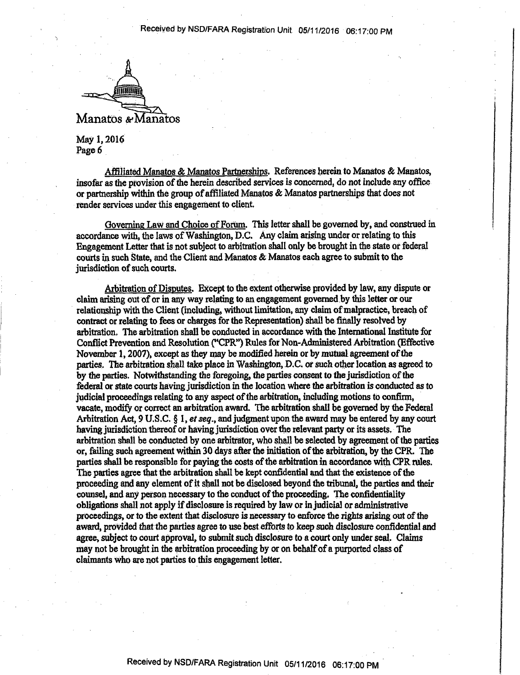

**May 1,2016 Page 6** 

**Affiliated Manatos & Manatos Partnerships. References herein to Manatos & Manatos, insofar as the provision of the herein described services is concerned, do not include any office or partnership within the group of affiliated Manatos & Manatos partnerships that does not render services under this engagement to client.** 

**Governing Law and Choice of Forum. This letter shall be governed by, and construed in accordance with, the laws of Washington, D.C. Any claim arising under or relating to this Engagement Letter that is not subject to arbitration shall only be brought in the state or federal courts in such State, and the Client and Manatos & Manatos each agree to submit to the jurisdiction of such courts.** 

**Arbitration of Disputes. Except to the extent otherwise provided by law, any dispute or claim arising out of or in any way relating to an engagement governed by this letter or our relationship with the Client (including, without limitation, any claim of malpractice, breach of contract or relating to fees or charges for the Representation) shall be finally resolved by arbitration. The arbitration shall be conducted in accordance with the International Institute for Conflict Prevention and Resolution ("CPR") Rules for Non-Administered Arbitration (Effective November 1,2007), except as they may be modified herein or by mutual agreement of the parties. The arbitration shall take place in Washington, D.C. or such other location as agreed to by the parties. Notwithstanding the foregoing, the parties consent to the jurisdiction of the federal or state courts having jurisdiction in the location where the arbitration is conducted as to judicial proceedings relating to any aspect of the arbitration, including motions to confirm, vacate, modify or correct an arbitration award. The arbitration shall be governed by the Federal Arbitration Act, 9 U.S.C. § 1, et seq., and judgment upon the award may be entered by any court having jurisdiction thereof or having jurisdiction over the relevant party or its assets. The arbitration shall be conducted by one arbitrator, who shall be selected by agreement of the parties or, failing such agreement within 30 days after the initiation of the arbitration, by the CPR. The parties shall be responsible for paying the costs of the arbitration in accordance with CPR rules. The parties agree that the arbitration shall be kept confidential and that the existence of the proceeding and any element of it shall not be disclosed beyond the tribunal, the parties and their counsel, and any person necessary to the conduct of the proceeding. The confidentiality obligations shall not apply if disclosure is required by law or injudicial or administrative proceedings, or to the extent that disclosure is necessary to enforce the rights arising out of the award, provided that the parties agree to use best efforts to keep such disclosure confidential and agree, subject to court approval, to submit such disclosure to a court only under seal. Claims may not be brought in the arbitration proceeding by or on behalf of a purported class of claimants Who are not parties to this engagement letter.**